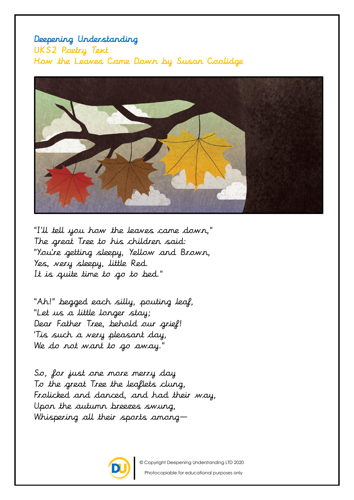## Deepening Understanding UKS2 Poetry Text How the Leaves Came Down by Susan Coolidge



"I'll tell you how the leaves came down," The great Tree to his children said: "You're getting sleepy, Yellow and Brown, Yes, very sleepy, little Red. It is quite time to go to bed."

"Ah!" begged each silly, pouting leaf, "Let us a little longer stay; Dear Father Tree, behold our grief! 'Tis such a very pleasant day, We do not want to go away."

So, for just one more merry day To the great Tree the leaflets clung, Frolicked and danced, and had their way, Upon the autumn breezes swung, Whispering all their sports among—



© Copyright Deepening Understanding LTD 2020 Photocopiable for educational purposes only